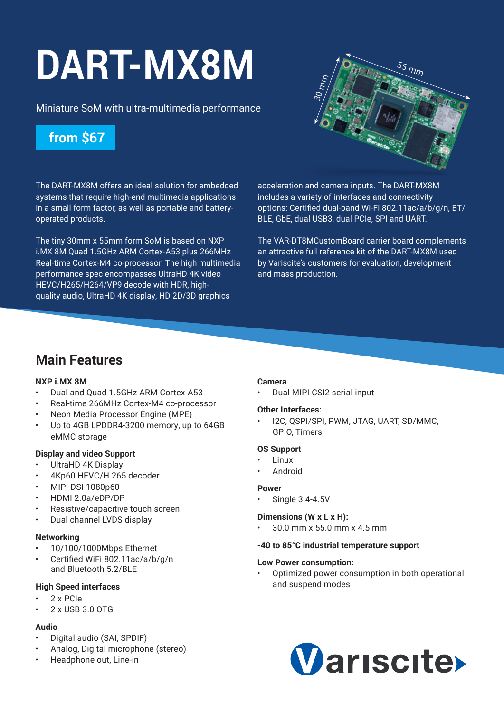# **[DART-MX8M](https://www.variscite.com/product/system-on-module-som/cortex-a53-krait/dart-mx8m-nxp-imx-8m/)**

Miniature SoM with ultra-multimedia performance

## **from \$67**

 $\stackrel{55}{\smile}$ mm  $\frac{30}{2}$ mm

The DART-MX8M offers an ideal solution for embedded systems that require high-end multimedia applications in a small form factor, as well as portable and batteryoperated products.

The tiny 30mm x 55mm form SoM is based on NXP i.MX 8M Quad 1.5GHz ARM Cortex-A53 plus 266MHz Real-time Cortex-M4 co-processor. The high multimedia performance spec encompasses UltraHD 4K video HEVC/H265/H264/VP9 decode with HDR, highquality audio, UltraHD 4K display, HD 2D/3D graphics

acceleration and camera inputs. The DART-MX8M includes a variety of interfaces and connectivity options: Certified dual-band Wi-Fi 802.11ac/a/b/g/n, BT/ BLE, GbE, dual USB3, dual PCIe, SPI and UART.

The VAR-DT8MCustomBoard carrier board complements an attractive full reference kit of the DART-MX8M used by Variscite's customers for evaluation, development and mass production.

## **Main Features**

#### **NXP i.MX 8M**

- Dual and Quad 1.5GHz ARM Cortex-A53
- Real-time 266MHz Cortex-M4 co-processor
- Neon Media Processor Engine (MPE)
- Up to 4GB LPDDR4-3200 memory, up to 64GB eMMC storage

#### **Display and video Support**

- UltraHD 4K Display
- 4Kp60 HEVC/H.265 decoder
- MIPI DSI 1080p60
- HDMI 2.0a/eDP/DP
- Resistive/capacitive touch screen
- Dual channel LVDS display

#### **Networking**

- 10/100/1000Mbps Ethernet
- Certified WiFi 802.11ac/a/b/g/n and Bluetooth 5.2/BLE

#### **High Speed interfaces**

- 2 x PCIe
- 2 x USB 3.0 OTG

#### **Audio**

- Digital audio (SAI, SPDIF)
- Analog, Digital microphone (stereo)
- Headphone out, Line-in

#### **Camera**

• Dual MIPI CSI2 serial input

#### **Other Interfaces:**

• I2C, QSPI/SPI, PWM, JTAG, UART, SD/MMC, GPIO, Timers

#### **OS Support**

- **Linux**
- **Android**

#### **Power**

Single 3.4-4.5V

#### **Dimensions (W x L x H):**

• 30.0 mm x 55.0 mm x 4.5 mm

#### **-40 to 85°C industrial temperature support**

#### **Low Power consumption:**

• Optimized power consumption in both operational and suspend modes